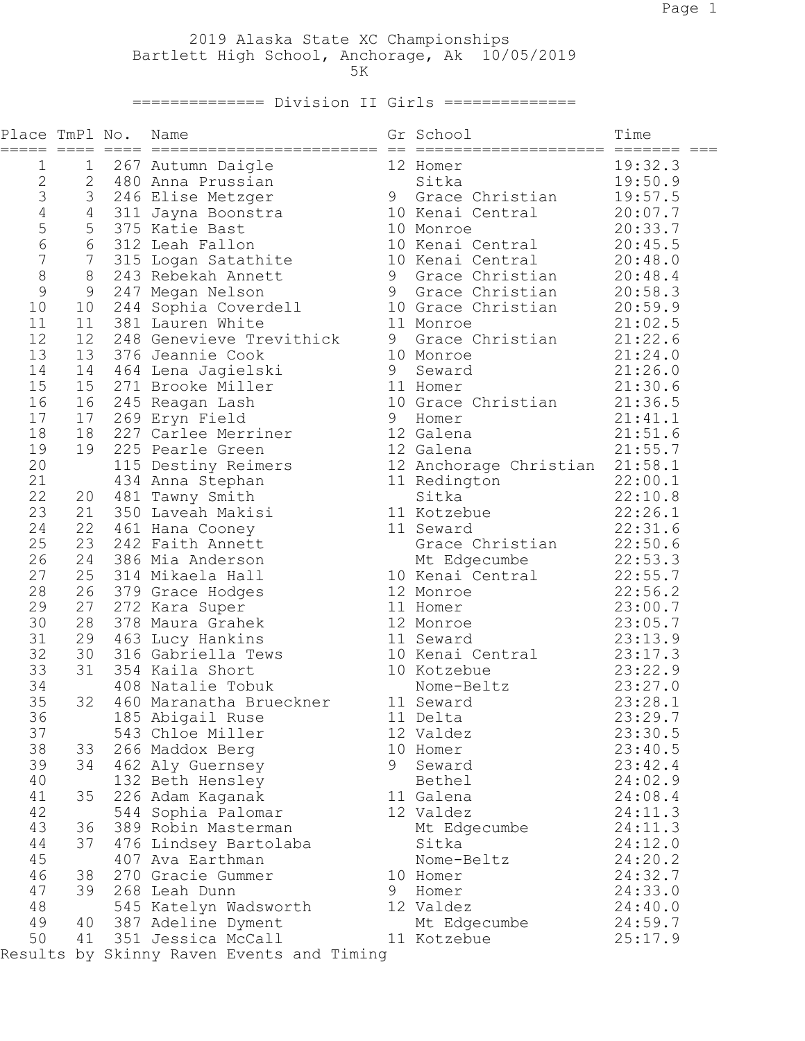2019 Alaska State XC Championships Bartlett High School, Anchorage, Ak 10/05/2019  $5K$ 

============== Division II Girls ==============

| Place TmPl No.<br>===== ==== |                | Name                                      |   | Gr School                      | Time               |
|------------------------------|----------------|-------------------------------------------|---|--------------------------------|--------------------|
| $\mathbf 1$                  | $\mathbf 1$    | 267 Autumn Daigle                         |   | 12 Homer                       | 19:32.3            |
| $\mathbf{2}$                 | $\overline{2}$ | 480 Anna Prussian                         |   | Sitka                          | 19:50.9            |
| $\mathfrak{Z}$               | 3              | 246 Elise Metzger                         |   | 9 Grace Christian              | 19:57.5            |
| $\sqrt{4}$                   | $\overline{4}$ | 311 Jayna Boonstra                        |   | 10 Kenai Central               | 20:07.7            |
| 5                            | 5              | 375 Katie Bast                            |   | 10 Monroe                      | 20:33.7            |
| $\epsilon$                   | 6              | 312 Leah Fallon                           |   | 10 Kenai Central               | 20:45.5            |
| $\overline{7}$               | $7\phantom{.}$ | 315 Logan Satathite                       |   | 10 Kenai Central               | 20:48.0            |
| 8                            | $8\,$          | 243 Rebekah Annett                        |   | 9 Grace Christian              | 20:48.4            |
| 9                            | 9              | 247 Megan Nelson                          |   | 9 Grace Christian              | 20:58.3            |
| 10                           | 10             | 244 Sophia Coverdell                      |   | 10 Grace Christian             | 20:59.9            |
| 11                           | 11             | 381 Lauren White                          |   | 11 Monroe                      | 21:02.5            |
| 12                           | 12             | 248 Genevieve Trevithick                  |   | 9 Grace Christian              | 21:22.6            |
| 13                           | 13             | 376 Jeannie Cook                          |   | 10 Monroe                      | 21:24.0            |
| 14                           | 14             | 464 Lena Jagielski                        | 9 | Seward                         | 21:26.0            |
| 15                           | 15             | 271 Brooke Miller                         |   | 11 Homer                       | 21:30.6            |
| 16<br>17                     | 16             | 245 Reagan Lash                           |   | 10 Grace Christian<br>Homer    | 21:36.5            |
| 18                           | 17<br>18       | 269 Eryn Field<br>227 Carlee Merriner     | 9 | 12 Galena                      | 21:41.1<br>21:51.6 |
| 19                           | 19             | 225 Pearle Green                          |   | 12 Galena                      | 21:55.7            |
| 20                           |                | 115 Destiny Reimers                       |   | 12 Anchorage Christian 21:58.1 |                    |
| 21                           |                | 434 Anna Stephan                          |   | 11 Redington                   | 22:00.1            |
| 22                           | 20             | 481 Tawny Smith                           |   | Sitka                          | 22:10.8            |
| 23                           | 21             | 350 Laveah Makisi                         |   | 11 Kotzebue                    | 22:26.1            |
| 24                           | 22             | 461 Hana Cooney                           |   | 11 Seward                      | 22:31.6            |
| 25                           | 23             | 242 Faith Annett                          |   | Grace Christian 22:50.6        |                    |
| 26                           | 24             | 386 Mia Anderson                          |   | Mt Edgecumbe                   | 22:53.3            |
| 27                           | 25             | 314 Mikaela Hall                          |   | 10 Kenai Central 22:55.7       |                    |
| 28                           | 26             | 379 Grace Hodges                          |   | 12 Monroe                      | 22:56.2            |
| 29                           | 27             | 272 Kara Super                            |   | 11 Homer                       | 23:00.7            |
| 30                           | 28             | 378 Maura Grahek                          |   | 12 Monroe                      | 23:05.7            |
| 31                           | 29             | 463 Lucy Hankins                          |   | 11 Seward                      | 23:13.9            |
| 32                           | 30             | 316 Gabriella Tews                        |   | 10 Kenai Central 23:17.3       |                    |
| 33                           | 31             | 354 Kaila Short                           |   | 10 Kotzebue                    | 23:22.9            |
| 34                           |                | 408 Natalie Tobuk                         |   | Nome-Beltz                     | 23:27.0            |
| 35                           | 32             | 460 Maranatha Brueckner                   |   | 11 Seward                      | 23:28.1            |
| 36                           |                | 185 Abigail Ruse                          |   | 11 Delta                       | 23:29.7            |
| 37                           |                | 543 Chloe Miller                          |   | 12 Valdez                      | 23:30.5            |
| 38                           | 33             | 266 Maddox Berg                           |   | 10 Homer                       | 23:40.5            |
| 39                           | 34             | 462 Aly Guernsey                          | 9 | Seward                         | 23:42.4            |
| 40                           |                | 132 Beth Hensley                          |   | Bethel                         | 24:02.9            |
| 41                           | 35             | 226 Adam Kaganak                          |   | 11 Galena                      | 24:08.4            |
| 42                           |                | 544 Sophia Palomar                        |   | 12 Valdez                      | 24:11.3            |
| 43                           | 36             | 389 Robin Masterman                       |   | Mt Edgecumbe                   | 24:11.3            |
| 44                           | 37             | 476 Lindsey Bartolaba                     |   | Sitka                          | 24:12.0            |
| 45                           |                | 407 Ava Earthman                          |   | Nome-Beltz                     | 24:20.2            |
| 46                           | 38             | 270 Gracie Gummer                         |   | 10 Homer                       | 24:32.7            |
| 47                           | 39             | 268 Leah Dunn                             | 9 | Homer                          | 24:33.0            |
| 48                           |                | 545 Katelyn Wadsworth                     |   | 12 Valdez                      | 24:40.0            |
| 49                           | 40             | 387 Adeline Dyment                        |   | Mt Edgecumbe                   | 24:59.7            |
| 50                           | 41             | 351 Jessica McCall                        |   | 11 Kotzebue                    | 25:17.9            |
|                              |                | Results by Skinny Raven Events and Timing |   |                                |                    |